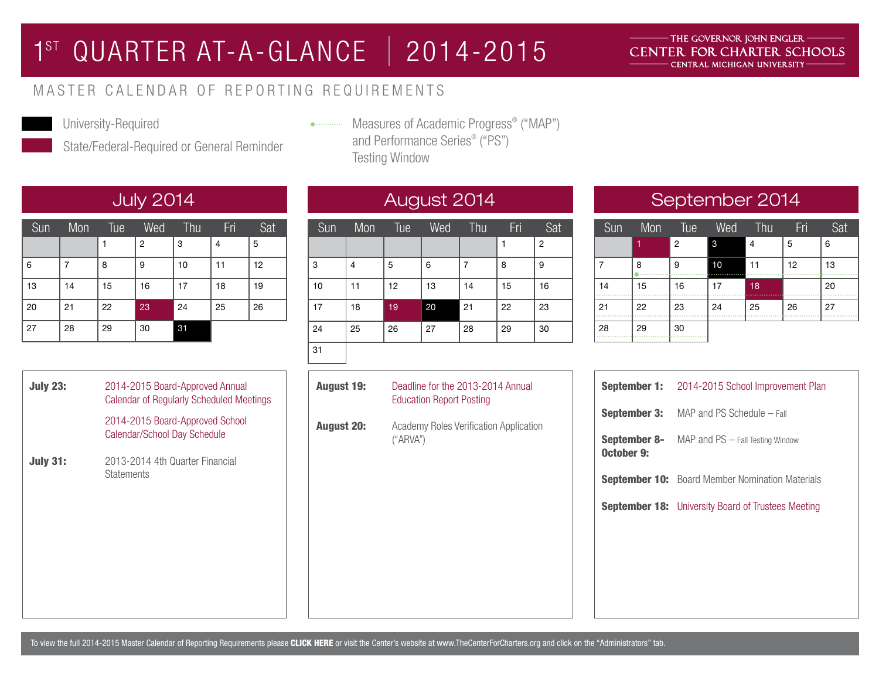## 1ST QUARTER AT-A-GLANCE | 2014-2015

### THE GOVERNOR JOHN ENGLER -CENTER FOR CHARTER SCHOOLS CENTRAL MICHIGAN UNIVERSITY

## MASTER CALENDAR OF REPORTING REQUIREMENTS



University-Required

State/Federal-Required or General Reminder

Measures of Academic Progress® ("MAP") and Performance Series® ("PS") Testing Window

| Sun | Mon | Tue | Wed            | Thu | Fri | Sat |
|-----|-----|-----|----------------|-----|-----|-----|
|     |     |     | $\overline{2}$ | 3   | 4   | 5   |
| 6   |     | 8   | 9              | 10  | 11  | 12  |
| 13  | 14  | 15  | 16             | 17  | 18  | 19  |
| 20  | 21  | 22  | 23             | 24  | 25  | 26  |
| 27  | 28  | 29  | 30             | 31  |     |     |

| <b>July 23:</b> | 2014-2015 Board-Approved Annual<br><b>Calendar of Regularly Scheduled Meetings</b> |  |
|-----------------|------------------------------------------------------------------------------------|--|
|                 | 2014-2015 Board-Approved School<br>Calendar/School Day Schedule                    |  |
| <b>July 31:</b> | 2013-2014 4th Quarter Financial<br><b>Statements</b>                               |  |
|                 |                                                                                    |  |

| Sun | Mon | Tue | Wed | Thu | Fri | Sat            |
|-----|-----|-----|-----|-----|-----|----------------|
|     |     |     |     |     |     | $\overline{2}$ |
| 3   | 4   | 5   | 6   | 7   | 8   | 9              |
| 10  | 11  | 12  | 13  | 14  | 15  | 16             |
| 17  | 18  | 19  | 20  | 21  | 22  | 23             |
| 24  | 25  | 26  | 27  | 28  | 29  | 30             |
| 31  |     |     |     |     |     |                |

| <b>August 19:</b> | Deadline for the 2013-2014 Annual<br><b>Education Report Posting</b> |
|-------------------|----------------------------------------------------------------------|
| <b>August 20:</b> | Academy Roles Verification Application<br>("ARVA")                   |

## July 2014 August 2014 September 2014

| Sun | Mon | Tue            | Wed | Thu            | Fri | Sat |
|-----|-----|----------------|-----|----------------|-----|-----|
|     | 1   | $\overline{2}$ | 3   | $\overline{4}$ | 5   | 6   |
| 7   | 8   | 9              | 10  | 11             | 12  | 13  |
| 14  | 15  | 16             | 17  | 18             |     | 20  |
| 21  | 22  | 23             | 24  | 25             | 26  | 27  |
| 28  | 29  | 30             |     |                |     |     |

|            | <b>September 1:</b> 2014-2015 School Improvement Plan     |
|------------|-----------------------------------------------------------|
|            | <b>September 3:</b> MAP and PS Schedule – Fall            |
| October 9: | <b>September 8-</b> MAP and PS – Fall Testing Window      |
|            | <b>September 10:</b> Board Member Nomination Materials    |
|            | <b>September 18:</b> University Board of Trustees Meeting |
|            |                                                           |
|            |                                                           |
|            |                                                           |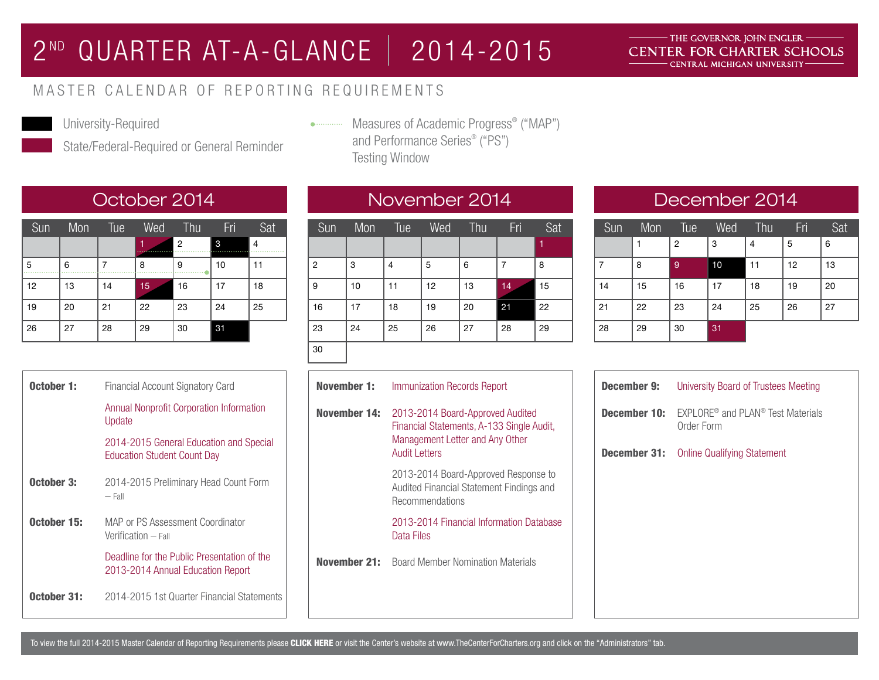## 2ND QUARTER AT-A-GLANCE | 2014-2015

### THE GOVERNOR JOHN ENGLER -CENTER FOR CHARTER SCHOOLS CENTRAL MICHIGAN UNIVERSITY

## MASTER CALENDAR OF REPORTING REQUIREMENTS



University-Required

State/Federal-Required or General Reminder

Measures of Academic Progress® ("MAP") and Performance Series® ("PS") Testing Window

| Sun | Mon | Tue | Wed | Thu            | Fri | Sat |
|-----|-----|-----|-----|----------------|-----|-----|
|     |     |     | 1   | $\overline{2}$ | 3   | 4   |
| 5   | 6   |     | 8   | 9              | 10  | 11  |
| 12  | 13  | 14  | 15  | 16             | 17  | 18  |
| 19  | 20  | 21  | 22  | 23             | 24  | 25  |
| 26  | 27  | 28  | 29  | 30             | 31  |     |

| October 1:  | Financial Account Signatory Card                                                 |
|-------------|----------------------------------------------------------------------------------|
|             | Annual Nonprofit Corporation Information<br>Update                               |
|             | 2014-2015 General Education and Special<br><b>Education Student Count Day</b>    |
| October 3:  | 2014-2015 Preliminary Head Count Form<br>$-$ Fall                                |
| October 15: | MAP or PS Assessment Coordinator<br>Verification – Fall                          |
|             | Deadline for the Public Presentation of the<br>2013-2014 Annual Education Report |
| October 31: | 2014-2015 1st Quarter Financial Statements                                       |

| Sun            | Mon | Tue | Wed | Thu | <b>Fri</b> | Sat |
|----------------|-----|-----|-----|-----|------------|-----|
|                |     |     |     |     |            | 1   |
| $\overline{2}$ | 3   | 4   | 5   | 6   | 7          | 8   |
| 9              | 10  | 11  | 12  | 13  | 14         | 15  |
| 16             | 17  | 18  | 19  | 20  | 21         | 22  |
| 23             | 24  | 25  | 26  | 27  | 28         | 29  |
| 30             |     |     |     |     |            |     |

## November 1: November 14: 2013-2014 Board-Approved Audited November 21: Board Member Nomination Materials Immunization Records Report Financial Statements, A-133 Single Audit, Management Letter and Any Other Audit Letters 2013-2014 Board-Approved Response to Audited Financial Statement Findings and Recommendations 2013-2014 Financial Information Database Data Files

## October 2014 November 2014 December 2014

| Sun | Mon | Tue | Wed | Thu | Fri | Sat |
|-----|-----|-----|-----|-----|-----|-----|
|     |     | 2   | 3   | 4   | 5   | 6   |
| 7   | 8   | 9   | 10  | 11  | 12  | 13  |
| 14  | 15  | 16  | 17  | 18  | 19  | 20  |
| 21  | 22  | 23  | 24  | 25  | 26  | 27  |
| 28  | 29  | 30  | 31  |     |     |     |

| <b>December 9:</b> | University Board of Trustees Meeting                                    |
|--------------------|-------------------------------------------------------------------------|
| December 10:       | EXPLORE <sup>®</sup> and PLAN <sup>®</sup> Test Materials<br>Order Form |
|                    | <b>December 31:</b> Online Qualifying Statement                         |
|                    |                                                                         |
|                    |                                                                         |
|                    |                                                                         |
|                    |                                                                         |
|                    |                                                                         |
|                    |                                                                         |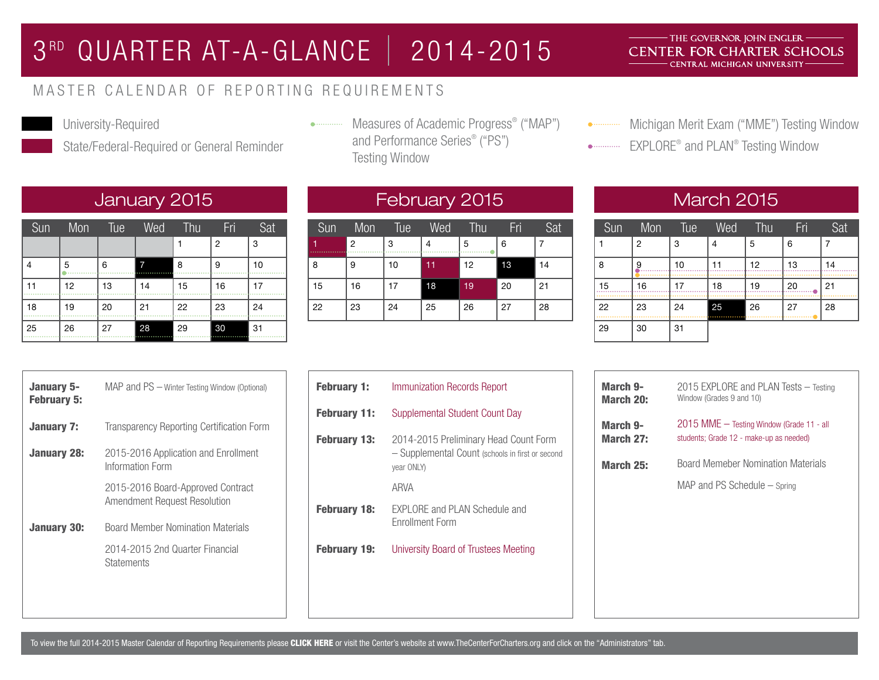## 3<sup>RD</sup> QUARTER AT-A-GLANCE | 2014-2015

### THE GOVERNOR JOHN ENGLER -CENTER FOR CHARTER SCHOOLS CENTRAL MICHIGAN UNIVERSITY

### MASTER CALENDAR OF REPORTING REQUIREMENTS



University-Required

State/Federal-Required or General Reminder

Measures of Academic Progress® ("MAP") and Performance Series® ("PS") Testing Window

• Michigan Merit Exam ("MME") Testing Window

EXPLORE® and PLAN® Testing Window

## January 2015 February 2015 March 2015

| Sun | Mon | Tue | Wed | Thu | Fri | Sat |
|-----|-----|-----|-----|-----|-----|-----|
|     |     |     |     |     | 2   | 3   |
| 4   | 5   | 6   | 7   | 8   | 9   | 10  |
| 11  | 12  | 13  | 14  | 15  | 16  | 17  |
| 18  | 19  | 20  | 21  | 22  | 23  | 24  |
| 25  | 26  | 27  | 28  | 29  | 30  | 31  |

| Sun | Mon            | Tue | Wed | Thu | Fri | Sat |
|-----|----------------|-----|-----|-----|-----|-----|
|     | $\overline{2}$ | 3   | 4   | 5   | 6   |     |
| 8   | 9              | 10  | 11  | 12  | 13  | 14  |
| 15  | 16             | 17  | 18  | 19  | 20  | 21  |
| 22  | 23             | 24  | 25  | 26  | 27  | 28  |

| Sun | Mon            | Tue | Wed    | Thu | Fri | Sat |
|-----|----------------|-----|--------|-----|-----|-----|
|     | $\overline{2}$ | 3   | 4      | 5   | 6   |     |
| 8   | 9              | 10  | 11     | 12  | 13  | 14  |
| 15  | 16             | 17  | 18     | 19  | 20  | 21  |
| 22  | 23             | 24  | 25<br> | 26  | 27  | 28  |
| 29  | 30             | 31  |        |     |     |     |

| January 5-<br><b>February 5:</b> | MAP and PS - Winter Testing Window (Optional)                                                    |
|----------------------------------|--------------------------------------------------------------------------------------------------|
| January 7:                       | Transparency Reporting Certification Form                                                        |
| January 28:                      | 2015-2016 Application and Enrollment<br>Information Form                                         |
|                                  | 2015-2016 Board-Approved Contract<br>Amendment Request Resolution                                |
| <b>January 30:</b>               | <b>Board Member Nomination Materials</b><br>2014-2015 2nd Quarter Financial<br><b>Statements</b> |
|                                  |                                                                                                  |

| <b>February 1:</b>  | Immunization Records Report                                                                             |
|---------------------|---------------------------------------------------------------------------------------------------------|
| <b>February 11:</b> | Supplemental Student Count Day                                                                          |
| <b>February 13:</b> | 2014-2015 Preliminary Head Count Form<br>- Supplemental Count (schools in first or second<br>year ONLY) |
|                     | ARVA                                                                                                    |
| <b>February 18:</b> | EXPLORE and PLAN Schedule and<br><b>Fnrollment Form</b>                                                 |
| <b>February 19:</b> | University Board of Trustees Meeting                                                                    |

| March 9-  | 2015 EXPLORE and PLAN Tests – Testing                                     |
|-----------|---------------------------------------------------------------------------|
| March 20: | Window (Grades 9 and 10)                                                  |
| March 9-  | 2015 MME - Testing Window (Grade 11 - all                                 |
| March 27: | students; Grade 12 - make-up as needed)                                   |
| March 25: | <b>Board Memeber Nomination Materials</b><br>MAP and PS Schedule – Spring |

To view the full 2014-2015 Master Calendar of Reporting Requirements please [CLICK HERE](http://www.thecenterforcharters.org/modules.php?name=Pages&sp_id=192&pmenu_id=6) or visit the Center's website at www.TheCenterForCharters.org and click on the "Administrators" tab.